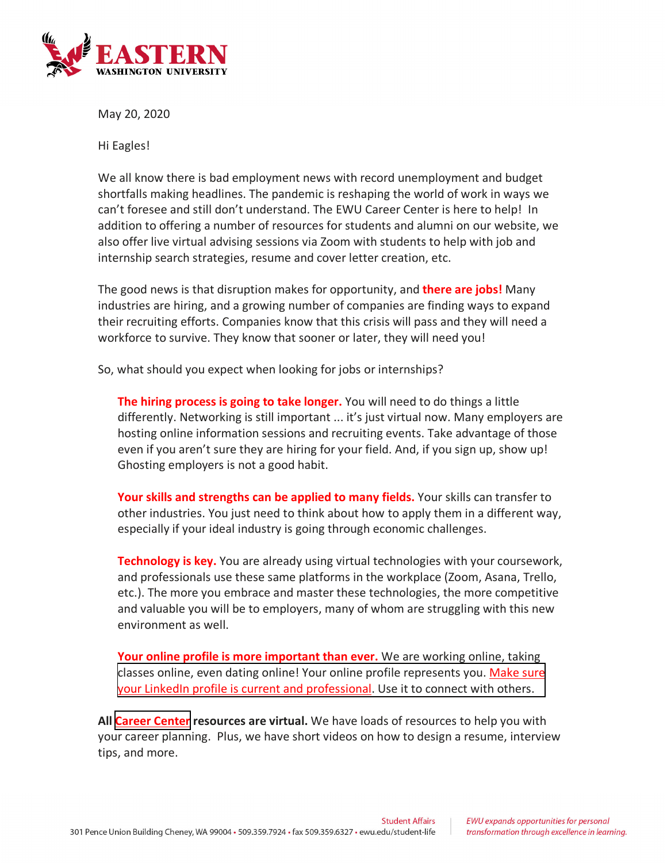

May 20, 2020

Hi Eagles!

We all know there is bad employment news with record unemployment and budget shortfalls making headlines. The pandemic is reshaping the world of work in ways we can't foresee and still don't understand. The EWU Career Center is here to help! In addition to offering a number of resources for students and alumni on our website, we also offer live virtual advising sessions via Zoom with students to help with job and internship search strategies, resume and cover letter creation, etc.

The good news is that disruption makes for opportunity, and **there are jobs!** Many industries are hiring, and a growing number of companies are finding ways to expand their recruiting efforts. Companies know that this crisis will pass and they will need a workforce to survive. They know that sooner or later, they will need you!

So, what should you expect when looking for jobs or internships?

**The hiring process is going to take longer.** You will need to do things a little differently. Networking is still important ... it's just virtual now. Many employers are hosting online information sessions and recruiting events. Take advantage of those even if you aren't sure they are hiring for your field. And, if you sign up, show up! Ghosting employers is not a good habit.

**Your skills and strengths can be applied to many fields.** Your skills can transfer to other industries. You just need to think about how to apply them in a different way, especially if your ideal industry is going through economic challenges.

**Technology is key.** You are already using virtual technologies with your coursework, and professionals use these same platforms in the workplace (Zoom, Asana, Trello, etc.). The more you embrace and master these technologies, the more competitive and valuable you will be to employers, many of whom are struggling with this new environment as well.

**Your online profile is more important than ever.** We are working online, taking [classes online, even dating online! Your online profile represents you. Make sure](https://www.linkedin.com/help/linkedin/answer/112133/how-do-i-create-a-good-linkedin-profile-?lang=en)  your LinkedIn profile is current and professional. Use it to connect with others.

**All [Career Center](https://inside.ewu.edu/careercenter/) resources are virtual.** We have loads of resources to help you with your career planning. Plus, we have short videos on how to design a resume, interview tips, and more.